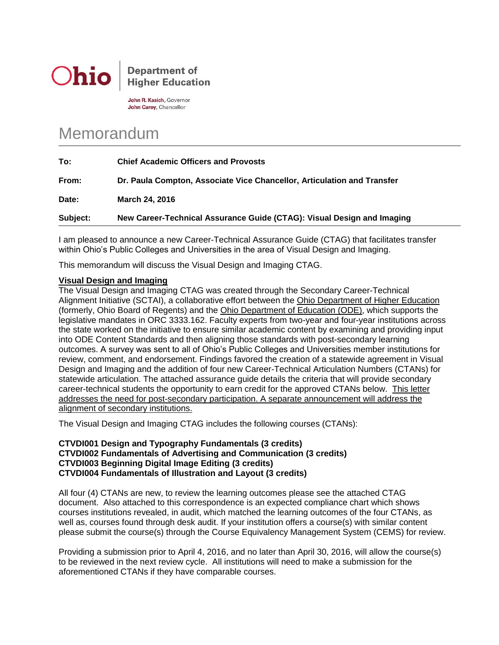

# **Department of Higher Education**

John R. Kasich, Governor John Carey, Chancellor

# Memorandum

| Subject: | New Career-Technical Assurance Guide (CTAG): Visual Design and Imaging  |
|----------|-------------------------------------------------------------------------|
| Date:    | <b>March 24, 2016</b>                                                   |
| From:    | Dr. Paula Compton, Associate Vice Chancellor, Articulation and Transfer |
| To:      | <b>Chief Academic Officers and Provosts</b>                             |

I am pleased to announce a new Career-Technical Assurance Guide (CTAG) that facilitates transfer within Ohio's Public Colleges and Universities in the area of Visual Design and Imaging.

This memorandum will discuss the Visual Design and Imaging CTAG.

## **Visual Design and Imaging**

The Visual Design and Imaging CTAG was created through the Secondary Career-Technical Alignment Initiative (SCTAI), a collaborative effort between the Ohio Department of Higher Education (formerly, Ohio Board of Regents) and the Ohio Department of Education (ODE), which supports the legislative mandates in ORC 3333.162. Faculty experts from two-year and four-year institutions across the state worked on the initiative to ensure similar academic content by examining and providing input into ODE Content Standards and then aligning those standards with post-secondary learning outcomes. A survey was sent to all of Ohio's Public Colleges and Universities member institutions for review, comment, and endorsement. Findings favored the creation of a statewide agreement in Visual Design and Imaging and the addition of four new Career-Technical Articulation Numbers (CTANs) for statewide articulation. The attached assurance guide details the criteria that will provide secondary career-technical students the opportunity to earn credit for the approved CTANs below. This letter addresses the need for post-secondary participation. A separate announcement will address the alignment of secondary institutions.

The Visual Design and Imaging CTAG includes the following courses (CTANs):

### **CTVDI001 Design and Typography Fundamentals (3 credits) CTVDI002 Fundamentals of Advertising and Communication (3 credits) CTVDI003 Beginning Digital Image Editing (3 credits) CTVDI004 Fundamentals of Illustration and Layout (3 credits)**

All four (4) CTANs are new, to review the learning outcomes please see the attached CTAG document. Also attached to this correspondence is an expected compliance chart which shows courses institutions revealed, in audit, which matched the learning outcomes of the four CTANs, as well as, courses found through desk audit. If your institution offers a course(s) with similar content please submit the course(s) through the Course Equivalency Management System (CEMS) for review.

Providing a submission prior to April 4, 2016, and no later than April 30, 2016, will allow the course(s) to be reviewed in the next review cycle. All institutions will need to make a submission for the aforementioned CTANs if they have comparable courses.